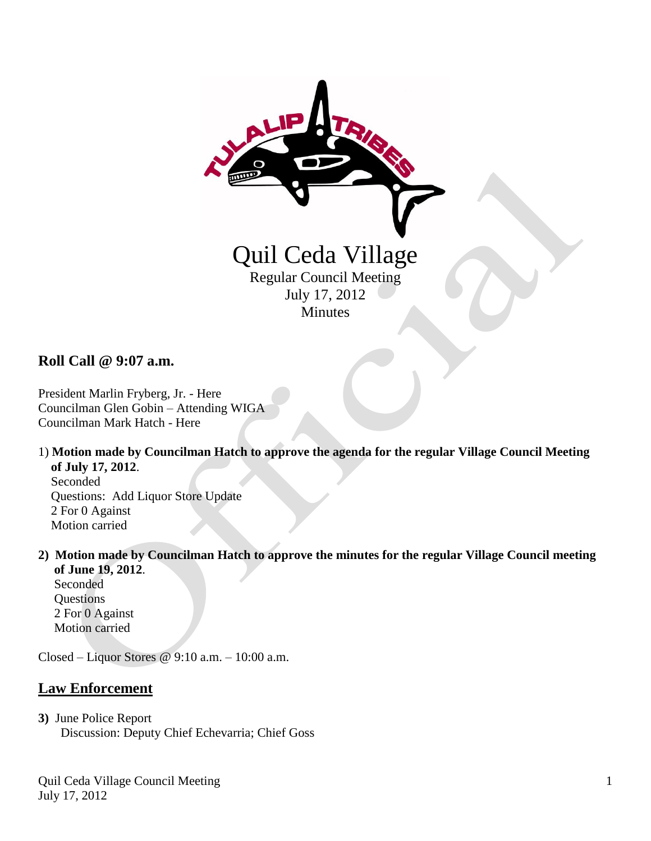

**Roll Call @ 9:07 a.m.**

President Marlin Fryberg, Jr. - Here Councilman Glen Gobin – Attending WIGA Councilman Mark Hatch - Here

- 1) **Motion made by Councilman Hatch to approve the agenda for the regular Village Council Meeting of July 17, 2012**. Seconded Questions: Add Liquor Store Update 2 For 0 Against Motion carried
- **2) Motion made by Councilman Hatch to approve the minutes for the regular Village Council meeting of June 19, 2012**.

 Seconded **Questions**  2 For 0 Against Motion carried

Closed – Liquor Stores @ 9:10 a.m. – 10:00 a.m.

## **Law Enforcement**

**3)** June Police Report Discussion: Deputy Chief Echevarria; Chief Goss

Quil Ceda Village Council Meeting July 17, 2012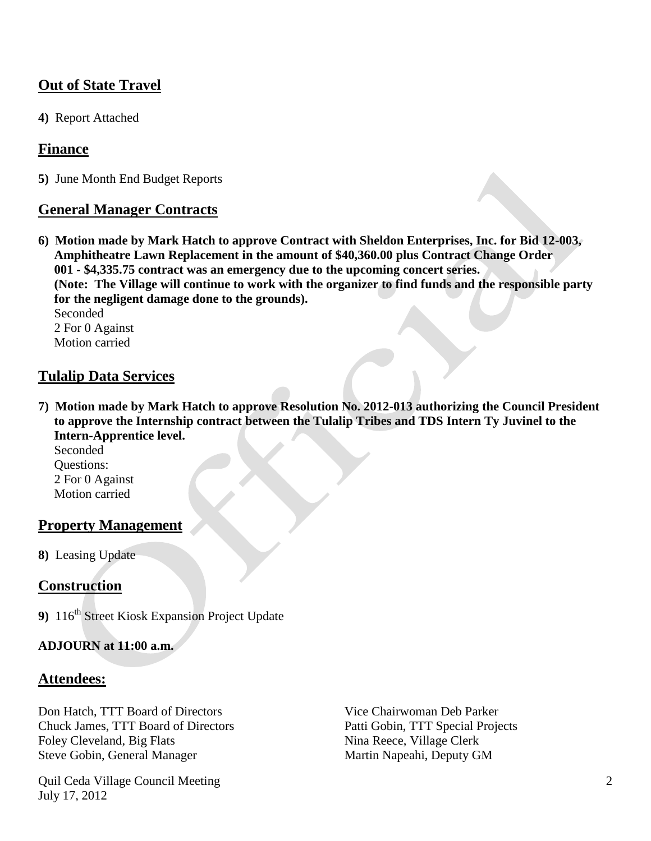# **Out of State Travel**

**4)** Report Attached

### **Finance**

**5)** June Month End Budget Reports

### **General Manager Contracts**

**6) Motion made by Mark Hatch to approve Contract with Sheldon Enterprises, Inc. for Bid 12-003, Amphitheatre Lawn Replacement in the amount of \$40,360.00 plus Contract Change Order 001 - \$4,335.75 contract was an emergency due to the upcoming concert series. (Note: The Village will continue to work with the organizer to find funds and the responsible party for the negligent damage done to the grounds).** Seconded 2 For 0 Against

Motion carried

#### **Tulalip Data Services**

**7) Motion made by Mark Hatch to approve Resolution No. 2012-013 authorizing the Council President to approve the Internship contract between the Tulalip Tribes and TDS Intern Ty Juvinel to the Intern-Apprentice level.**

Seconded<sup>1</sup> Questions: 2 For 0 Against Motion carried

## **Property Management**

**8)** Leasing Update

## **Construction**

**9)** 116<sup>th</sup> Street Kiosk Expansion Project Update

#### **ADJOURN at 11:00 a.m.**

#### **Attendees:**

Don Hatch, TTT Board of Directors Vice Chairwoman Deb Parker Chuck James, TTT Board of Directors Patti Gobin, TTT Special Projects Foley Cleveland, Big Flats Nina Reece, Village Clerk Steve Gobin, General Manager Martin Napeahi, Deputy GM

Quil Ceda Village Council Meeting July 17, 2012